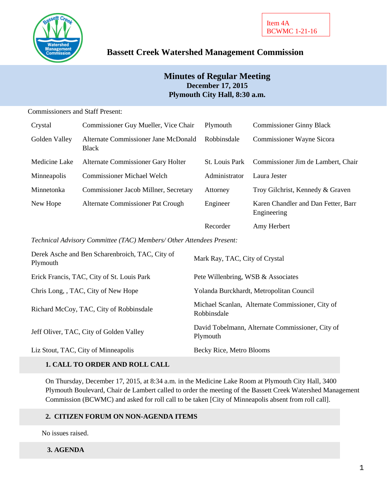

# **Bassett Creek Watershed Management Commission**

# **Minutes of Regular Meeting December 17, 2015 Plymouth City Hall, 8:30 a.m.**

### Commissioners and Staff Present:

| Crystal       | Commissioner Guy Mueller, Vice Chair                 | Plymouth              | <b>Commissioner Ginny Black</b>                    |
|---------------|------------------------------------------------------|-----------------------|----------------------------------------------------|
| Golden Valley | Alternate Commissioner Jane McDonald<br><b>Black</b> | Robbinsdale           | Commissioner Wayne Sicora                          |
| Medicine Lake | Alternate Commissioner Gary Holter                   | <b>St.</b> Louis Park | Commissioner Jim de Lambert, Chair                 |
| Minneapolis   | <b>Commissioner Michael Welch</b>                    | Administrator         | Laura Jester                                       |
| Minnetonka    | Commissioner Jacob Millner, Secretary                | Attorney              | Troy Gilchrist, Kennedy & Graven                   |
| New Hope      | Alternate Commissioner Pat Crough                    | Engineer              | Karen Chandler and Dan Fetter, Barr<br>Engineering |
|               |                                                      | Recorder              | Amy Herbert                                        |

*Technical Advisory Committee (TAC) Members/ Other Attendees Present:*

| Derek Asche and Ben Scharenbroich, TAC, City of<br>Plymouth | Mark Ray, TAC, City of Crystal                                  |
|-------------------------------------------------------------|-----------------------------------------------------------------|
| Erick Francis, TAC, City of St. Louis Park                  | Pete Willenbring, WSB & Associates                              |
| Chris Long, , TAC, City of New Hope                         | Yolanda Burckhardt, Metropolitan Council                        |
| Richard McCoy, TAC, City of Robbinsdale                     | Michael Scanlan, Alternate Commissioner, City of<br>Robbinsdale |
| Jeff Oliver, TAC, City of Golden Valley                     | David Tobelmann, Alternate Commissioner, City of<br>Plymouth    |
| Liz Stout, TAC, City of Minneapolis                         | Becky Rice, Metro Blooms                                        |

# **1. CALL TO ORDER AND ROLL CALL**

On Thursday, December 17, 2015, at 8:34 a.m. in the Medicine Lake Room at Plymouth City Hall, 3400 Plymouth Boulevard, Chair de Lambert called to order the meeting of the Bassett Creek Watershed Management Commission (BCWMC) and asked for roll call to be taken [City of Minneapolis absent from roll call].

## **2. CITIZEN FORUM ON NON-AGENDA ITEMS**

No issues raised.

### **3. AGENDA**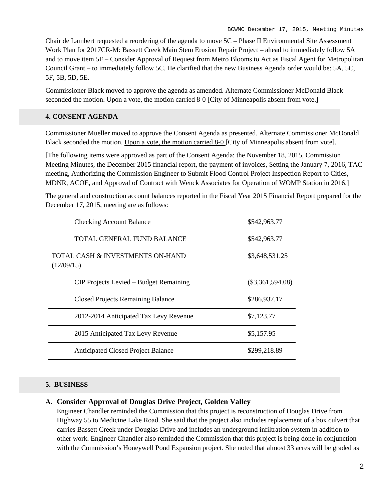Chair de Lambert requested a reordering of the agenda to move 5C – Phase II Environmental Site Assessment Work Plan for 2017CR-M: Bassett Creek Main Stem Erosion Repair Project – ahead to immediately follow 5A and to move item 5F – Consider Approval of Request from Metro Blooms to Act as Fiscal Agent for Metropolitan Council Grant – to immediately follow 5C. He clarified that the new Business Agenda order would be: 5A, 5C, 5F, 5B, 5D, 5E.

Commissioner Black moved to approve the agenda as amended. Alternate Commissioner McDonald Black seconded the motion. Upon a vote, the motion carried 8-0 [City of Minneapolis absent from vote.]

### **4. CONSENT AGENDA**

Commissioner Mueller moved to approve the Consent Agenda as presented. Alternate Commissioner McDonald Black seconded the motion. Upon a vote, the motion carried 8-0 [City of Minneapolis absent from vote].

[The following items were approved as part of the Consent Agenda: the November 18, 2015, Commission Meeting Minutes, the December 2015 financial report, the payment of invoices, Setting the January 7, 2016, TAC meeting, Authorizing the Commission Engineer to Submit Flood Control Project Inspection Report to Cities, MDNR, ACOE, and Approval of Contract with Wenck Associates for Operation of WOMP Station in 2016.]

The general and construction account balances reported in the Fiscal Year 2015 Financial Report prepared for the December 17, 2015, meeting are as follows:

| <b>Checking Account Balance</b>                | \$542,963.77       |
|------------------------------------------------|--------------------|
| TOTAL GENERAL FUND BALANCE                     | \$542,963.77       |
| TOTAL CASH & INVESTMENTS ON-HAND<br>(12/09/15) | \$3,648,531.25     |
| CIP Projects Levied – Budget Remaining         | $(\$3,361,594.08)$ |
| <b>Closed Projects Remaining Balance</b>       | \$286,937.17       |
| 2012-2014 Anticipated Tax Levy Revenue         | \$7,123.77         |
| 2015 Anticipated Tax Levy Revenue              | \$5,157.95         |
| <b>Anticipated Closed Project Balance</b>      | \$299,218.89       |

### **5. BUSINESS**

### **A. Consider Approval of Douglas Drive Project, Golden Valley**

Engineer Chandler reminded the Commission that this project is reconstruction of Douglas Drive from Highway 55 to Medicine Lake Road. She said that the project also includes replacement of a box culvert that carries Bassett Creek under Douglas Drive and includes an underground infiltration system in addition to other work. Engineer Chandler also reminded the Commission that this project is being done in conjunction with the Commission's Honeywell Pond Expansion project. She noted that almost 33 acres will be graded as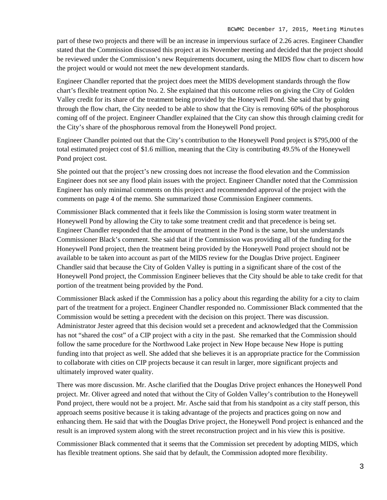part of these two projects and there will be an increase in impervious surface of 2.26 acres. Engineer Chandler stated that the Commission discussed this project at its November meeting and decided that the project should be reviewed under the Commission's new Requirements document, using the MIDS flow chart to discern how the project would or would not meet the new development standards.

Engineer Chandler reported that the project does meet the MIDS development standards through the flow chart's flexible treatment option No. 2. She explained that this outcome relies on giving the City of Golden Valley credit for its share of the treatment being provided by the Honeywell Pond. She said that by going through the flow chart, the City needed to be able to show that the City is removing 60% of the phosphorous coming off of the project. Engineer Chandler explained that the City can show this through claiming credit for the City's share of the phosphorous removal from the Honeywell Pond project.

Engineer Chandler pointed out that the City's contribution to the Honeywell Pond project is \$795,000 of the total estimated project cost of \$1.6 million, meaning that the City is contributing 49.5% of the Honeywell Pond project cost.

She pointed out that the project's new crossing does not increase the flood elevation and the Commission Engineer does not see any flood plain issues with the project. Engineer Chandler noted that the Commission Engineer has only minimal comments on this project and recommended approval of the project with the comments on page 4 of the memo. She summarized those Commission Engineer comments.

Commissioner Black commented that it feels like the Commission is losing storm water treatment in Honeywell Pond by allowing the City to take some treatment credit and that precedence is being set. Engineer Chandler responded that the amount of treatment in the Pond is the same, but she understands Commissioner Black's comment. She said that if the Commission was providing all of the funding for the Honeywell Pond project, then the treatment being provided by the Honeywell Pond project should not be available to be taken into account as part of the MIDS review for the Douglas Drive project. Engineer Chandler said that because the City of Golden Valley is putting in a significant share of the cost of the Honeywell Pond project, the Commission Engineer believes that the City should be able to take credit for that portion of the treatment being provided by the Pond.

Commissioner Black asked if the Commission has a policy about this regarding the ability for a city to claim part of the treatment for a project. Engineer Chandler responded no. Commissioner Black commented that the Commission would be setting a precedent with the decision on this project. There was discussion. Administrator Jester agreed that this decision would set a precedent and acknowledged that the Commission has not "shared the cost" of a CIP project with a city in the past. She remarked that the Commission should follow the same procedure for the Northwood Lake project in New Hope because New Hope is putting funding into that project as well. She added that she believes it is an appropriate practice for the Commission to collaborate with cities on CIP projects because it can result in larger, more significant projects and ultimately improved water quality.

There was more discussion. Mr. Asche clarified that the Douglas Drive project enhances the Honeywell Pond project. Mr. Oliver agreed and noted that without the City of Golden Valley's contribution to the Honeywell Pond project, there would not be a project. Mr. Asche said that from his standpoint as a city staff person, this approach seems positive because it is taking advantage of the projects and practices going on now and enhancing them. He said that with the Douglas Drive project, the Honeywell Pond project is enhanced and the result is an improved system along with the street reconstruction project and in his view this is positive.

Commissioner Black commented that it seems that the Commission set precedent by adopting MIDS, which has flexible treatment options. She said that by default, the Commission adopted more flexibility.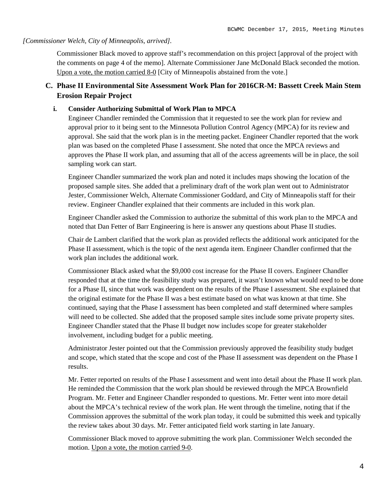#### *[Commissioner Welch, City of Minneapolis, arrived].*

Commissioner Black moved to approve staff's recommendation on this project [approval of the project with the comments on page 4 of the memo]. Alternate Commissioner Jane McDonald Black seconded the motion. Upon a vote, the motion carried 8-0 [City of Minneapolis abstained from the vote.]

# **C. Phase II Environmental Site Assessment Work Plan for 2016CR-M: Bassett Creek Main Stem Erosion Repair Project**

### **i. Consider Authorizing Submittal of Work Plan to MPCA**

Engineer Chandler reminded the Commission that it requested to see the work plan for review and approval prior to it being sent to the Minnesota Pollution Control Agency (MPCA) for its review and approval. She said that the work plan is in the meeting packet. Engineer Chandler reported that the work plan was based on the completed Phase I assessment. She noted that once the MPCA reviews and approves the Phase II work plan, and assuming that all of the access agreements will be in place, the soil sampling work can start.

Engineer Chandler summarized the work plan and noted it includes maps showing the location of the proposed sample sites. She added that a preliminary draft of the work plan went out to Administrator Jester, Commissioner Welch, Alternate Commissioner Goddard, and City of Minneapolis staff for their review. Engineer Chandler explained that their comments are included in this work plan.

Engineer Chandler asked the Commission to authorize the submittal of this work plan to the MPCA and noted that Dan Fetter of Barr Engineering is here is answer any questions about Phase II studies.

Chair de Lambert clarified that the work plan as provided reflects the additional work anticipated for the Phase II assessment, which is the topic of the next agenda item. Engineer Chandler confirmed that the work plan includes the additional work.

Commissioner Black asked what the \$9,000 cost increase for the Phase II covers. Engineer Chandler responded that at the time the feasibility study was prepared, it wasn't known what would need to be done for a Phase II, since that work was dependent on the results of the Phase I assessment. She explained that the original estimate for the Phase II was a best estimate based on what was known at that time. She continued, saying that the Phase I assessment has been completed and staff determined where samples will need to be collected. She added that the proposed sample sites include some private property sites. Engineer Chandler stated that the Phase II budget now includes scope for greater stakeholder involvement, including budget for a public meeting.

Administrator Jester pointed out that the Commission previously approved the feasibility study budget and scope, which stated that the scope and cost of the Phase II assessment was dependent on the Phase I results.

Mr. Fetter reported on results of the Phase I assessment and went into detail about the Phase II work plan. He reminded the Commission that the work plan should be reviewed through the MPCA Brownfield Program. Mr. Fetter and Engineer Chandler responded to questions. Mr. Fetter went into more detail about the MPCA's technical review of the work plan. He went through the timeline, noting that if the Commission approves the submittal of the work plan today, it could be submitted this week and typically the review takes about 30 days. Mr. Fetter anticipated field work starting in late January.

Commissioner Black moved to approve submitting the work plan. Commissioner Welch seconded the motion. Upon a vote, the motion carried 9-0.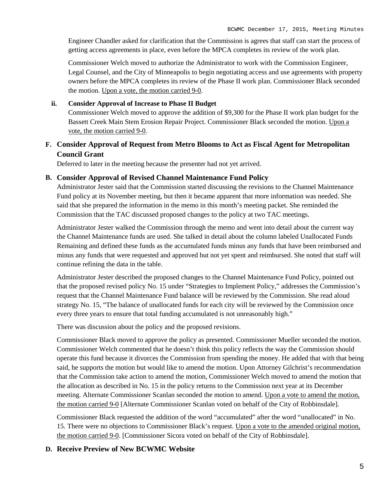Engineer Chandler asked for clarification that the Commission is agrees that staff can start the process of getting access agreements in place, even before the MPCA completes its review of the work plan.

Commissioner Welch moved to authorize the Administrator to work with the Commission Engineer, Legal Counsel, and the City of Minneapolis to begin negotiating access and use agreements with property owners before the MPCA completes its review of the Phase II work plan. Commissioner Black seconded the motion. Upon a vote, the motion carried 9-0.

### **ii. Consider Approval of Increase to Phase II Budget**

Commissioner Welch moved to approve the addition of \$9,300 for the Phase II work plan budget for the Bassett Creek Main Stem Erosion Repair Project. Commissioner Black seconded the motion. Upon a vote, the motion carried 9-0.

### **F. Consider Approval of Request from Metro Blooms to Act as Fiscal Agent for Metropolitan Council Grant**

Deferred to later in the meeting because the presenter had not yet arrived.

#### **B. Consider Approval of Revised Channel Maintenance Fund Policy**

Administrator Jester said that the Commission started discussing the revisions to the Channel Maintenance Fund policy at its November meeting, but then it became apparent that more information was needed. She said that she prepared the information in the memo in this month's meeting packet. She reminded the Commission that the TAC discussed proposed changes to the policy at two TAC meetings.

Administrator Jester walked the Commission through the memo and went into detail about the current way the Channel Maintenance funds are used. She talked in detail about the column labeled Unallocated Funds Remaining and defined these funds as the accumulated funds minus any funds that have been reimbursed and minus any funds that were requested and approved but not yet spent and reimbursed. She noted that staff will continue refining the data in the table.

Administrator Jester described the proposed changes to the Channel Maintenance Fund Policy, pointed out that the proposed revised policy No. 15 under "Strategies to Implement Policy," addresses the Commission's request that the Channel Maintenance Fund balance will be reviewed by the Commission. She read aloud strategy No. 15, "The balance of unallocated funds for each city will be reviewed by the Commission once every three years to ensure that total funding accumulated is not unreasonably high."

There was discussion about the policy and the proposed revisions.

Commissioner Black moved to approve the policy as presented. Commissioner Mueller seconded the motion. Commissioner Welch commented that he doesn't think this policy reflects the way the Commission should operate this fund because it divorces the Commission from spending the money. He added that with that being said, he supports the motion but would like to amend the motion. Upon Attorney Gilchrist's recommendation that the Commission take action to amend the motion, Commissioner Welch moved to amend the motion that the allocation as described in No. 15 in the policy returns to the Commission next year at its December meeting. Alternate Commissioner Scanlan seconded the motion to amend. Upon a vote to amend the motion, the motion carried 9-0 [Alternate Commissioner Scanlan voted on behalf of the City of Robbinsdale].

Commissioner Black requested the addition of the word "accumulated" after the word "unallocated" in No. 15. There were no objections to Commissioner Black's request. Upon a vote to the amended original motion, the motion carried 9-0. [Commissioner Sicora voted on behalf of the City of Robbinsdale].

### **D. Receive Preview of New BCWMC Website**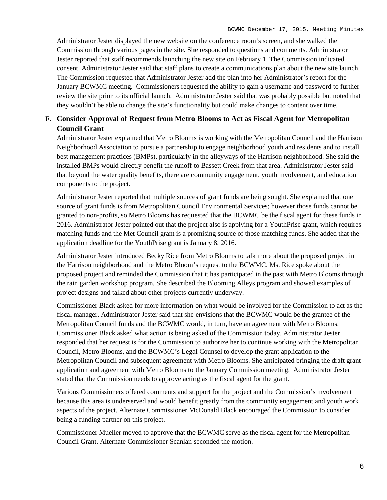Administrator Jester displayed the new website on the conference room's screen, and she walked the Commission through various pages in the site. She responded to questions and comments. Administrator Jester reported that staff recommends launching the new site on February 1. The Commission indicated consent. Administrator Jester said that staff plans to create a communications plan about the new site launch. The Commission requested that Administrator Jester add the plan into her Administrator's report for the January BCWMC meeting. Commissioners requested the ability to gain a username and password to further review the site prior to its official launch. Administrator Jester said that was probably possible but noted that they wouldn't be able to change the site's functionality but could make changes to content over time.

# **F. Consider Approval of Request from Metro Blooms to Act as Fiscal Agent for Metropolitan Council Grant**

Administrator Jester explained that Metro Blooms is working with the Metropolitan Council and the Harrison Neighborhood Association to pursue a partnership to engage neighborhood youth and residents and to install best management practices (BMPs), particularly in the alleyways of the Harrison neighborhood. She said the installed BMPs would directly benefit the runoff to Bassett Creek from that area. Administrator Jester said that beyond the water quality benefits, there are community engagement, youth involvement, and education components to the project.

Administrator Jester reported that multiple sources of grant funds are being sought. She explained that one source of grant funds is from Metropolitan Council Environmental Services; however those funds cannot be granted to non-profits, so Metro Blooms has requested that the BCWMC be the fiscal agent for these funds in 2016. Administrator Jester pointed out that the project also is applying for a YouthPrise grant, which requires matching funds and the Met Council grant is a promising source of those matching funds. She added that the application deadline for the YouthPrise grant is January 8, 2016.

Administrator Jester introduced Becky Rice from Metro Blooms to talk more about the proposed project in the Harrison neighborhood and the Metro Bloom's request to the BCWMC. Ms. Rice spoke about the proposed project and reminded the Commission that it has participated in the past with Metro Blooms through the rain garden workshop program. She described the Blooming Alleys program and showed examples of project designs and talked about other projects currently underway.

Commissioner Black asked for more information on what would be involved for the Commission to act as the fiscal manager. Administrator Jester said that she envisions that the BCWMC would be the grantee of the Metropolitan Council funds and the BCWMC would, in turn, have an agreement with Metro Blooms. Commissioner Black asked what action is being asked of the Commission today. Administrator Jester responded that her request is for the Commission to authorize her to continue working with the Metropolitan Council, Metro Blooms, and the BCWMC's Legal Counsel to develop the grant application to the Metropolitan Council and subsequent agreement with Metro Blooms. She anticipated bringing the draft grant application and agreement with Metro Blooms to the January Commission meeting. Administrator Jester stated that the Commission needs to approve acting as the fiscal agent for the grant.

Various Commissioners offered comments and support for the project and the Commission's involvement because this area is underserved and would benefit greatly from the community engagement and youth work aspects of the project. Alternate Commissioner McDonald Black encouraged the Commission to consider being a funding partner on this project.

Commissioner Mueller moved to approve that the BCWMC serve as the fiscal agent for the Metropolitan Council Grant. Alternate Commissioner Scanlan seconded the motion.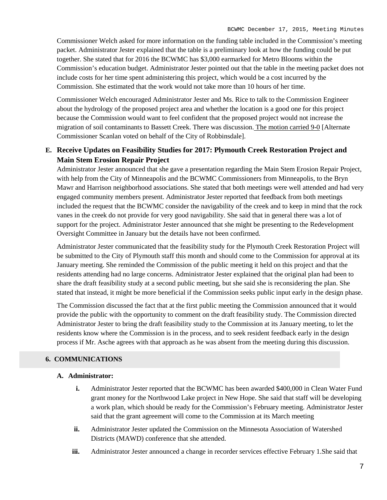Commissioner Welch asked for more information on the funding table included in the Commission's meeting packet. Administrator Jester explained that the table is a preliminary look at how the funding could be put together. She stated that for 2016 the BCWMC has \$3,000 earmarked for Metro Blooms within the Commission's education budget. Administrator Jester pointed out that the table in the meeting packet does not include costs for her time spent administering this project, which would be a cost incurred by the Commission. She estimated that the work would not take more than 10 hours of her time.

Commissioner Welch encouraged Administrator Jester and Ms. Rice to talk to the Commission Engineer about the hydrology of the proposed project area and whether the location is a good one for this project because the Commission would want to feel confident that the proposed project would not increase the migration of soil contaminants to Bassett Creek. There was discussion. The motion carried 9-0 [Alternate Commissioner Scanlan voted on behalf of the City of Robbinsdale].

# **E. Receive Updates on Feasibility Studies for 2017: Plymouth Creek Restoration Project and Main Stem Erosion Repair Project**

Administrator Jester announced that she gave a presentation regarding the Main Stem Erosion Repair Project, with help from the City of Minneapolis and the BCWMC Commissioners from Minneapolis, to the Bryn Mawr and Harrison neighborhood associations. She stated that both meetings were well attended and had very engaged community members present. Administrator Jester reported that feedback from both meetings included the request that the BCWMC consider the navigability of the creek and to keep in mind that the rock vanes in the creek do not provide for very good navigability. She said that in general there was a lot of support for the project. Administrator Jester announced that she might be presenting to the Redevelopment Oversight Committee in January but the details have not been confirmed.

Administrator Jester communicated that the feasibility study for the Plymouth Creek Restoration Project will be submitted to the City of Plymouth staff this month and should come to the Commission for approval at its January meeting. She reminded the Commission of the public meeting it held on this project and that the residents attending had no large concerns. Administrator Jester explained that the original plan had been to share the draft feasibility study at a second public meeting, but she said she is reconsidering the plan. She stated that instead, it might be more beneficial if the Commission seeks public input early in the design phase.

The Commission discussed the fact that at the first public meeting the Commission announced that it would provide the public with the opportunity to comment on the draft feasibility study. The Commission directed Administrator Jester to bring the draft feasibility study to the Commission at its January meeting, to let the residents know where the Commission is in the process, and to seek resident feedback early in the design process if Mr. Asche agrees with that approach as he was absent from the meeting during this discussion.

### **6. COMMUNICATIONS**

#### **A. Administrator:**

- **i.** Administrator Jester reported that the BCWMC has been awarded \$400,000 in Clean Water Fund grant money for the Northwood Lake project in New Hope. She said that staff will be developing a work plan, which should be ready for the Commission's February meeting. Administrator Jester said that the grant agreement will come to the Commission at its March meeting
- **ii.** Administrator Jester updated the Commission on the Minnesota Association of Watershed Districts (MAWD) conference that she attended.
- **iii.** Administrator Jester announced a change in recorder services effective February 1.She said that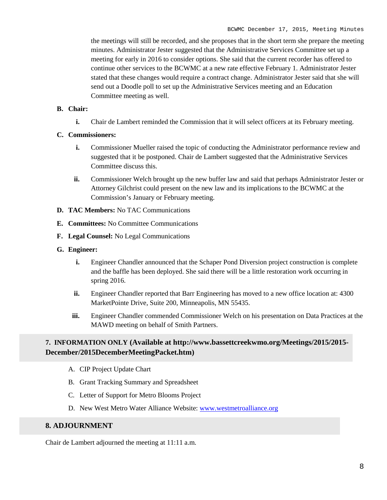the meetings will still be recorded, and she proposes that in the short term she prepare the meeting minutes. Administrator Jester suggested that the Administrative Services Committee set up a meeting for early in 2016 to consider options. She said that the current recorder has offered to continue other services to the BCWMC at a new rate effective February 1. Administrator Jester stated that these changes would require a contract change. Administrator Jester said that she will send out a Doodle poll to set up the Administrative Services meeting and an Education Committee meeting as well.

### **B. Chair:**

**i.** Chair de Lambert reminded the Commission that it will select officers at its February meeting.

### **C. Commissioners:**

- **i.** Commissioner Mueller raised the topic of conducting the Administrator performance review and suggested that it be postponed. Chair de Lambert suggested that the Administrative Services Committee discuss this.
- **ii.** Commissioner Welch brought up the new buffer law and said that perhaps Administrator Jester or Attorney Gilchrist could present on the new law and its implications to the BCWMC at the Commission's January or February meeting.
- **D. TAC Members:** No TAC Communications
- **E. Committees:** No Committee Communications
- **F. Legal Counsel:** No Legal Communications
- **G. Engineer:**
	- **i.** Engineer Chandler announced that the Schaper Pond Diversion project construction is complete and the baffle has been deployed. She said there will be a little restoration work occurring in spring 2016.
	- **ii.** Engineer Chandler reported that Barr Engineering has moved to a new office location at: 4300 MarketPointe Drive, Suite 200, Minneapolis, MN 55435.
	- **iii.** Engineer Chandler commended Commissioner Welch on his presentation on Data Practices at the MAWD meeting on behalf of Smith Partners.

# **7. INFORMATION ONLY (Available at http://www.bassettcreekwmo.org/Meetings/2015/2015- December/2015DecemberMeetingPacket.htm)**

- A. CIP Project Update Chart
- B. Grant Tracking Summary and Spreadsheet
- C. Letter of Support for Metro Blooms Project
- D. New West Metro Water Alliance Website: [www.westmetroalliance.org](http://www.westmetroalliance.org/)

### **8. ADJOURNMENT**

Chair de Lambert adjourned the meeting at 11:11 a.m.